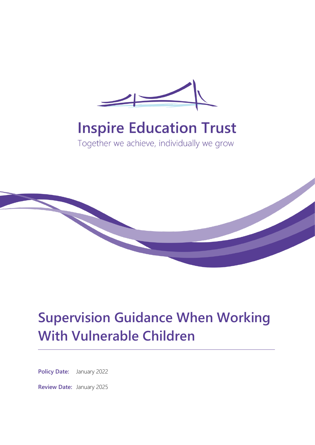

# **Inspire Education Trust**

Together we achieve, individually we grow



# **Supervision Guidance When Working With Vulnerable Children**

**Policy Date:** January 2022

**Review Date:** January 2025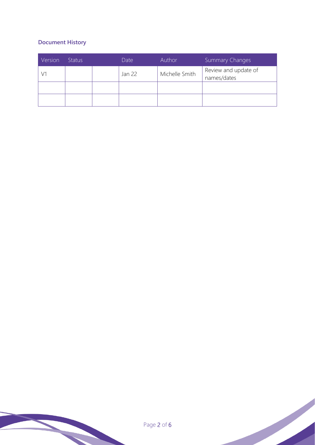## **Document History**

| Version | <b>Status</b> | Date   | Author         | Summary Changes                     |
|---------|---------------|--------|----------------|-------------------------------------|
|         |               | Jan 22 | Michelle Smith | Review and update of<br>names/dates |
|         |               |        |                |                                     |
|         |               |        |                |                                     |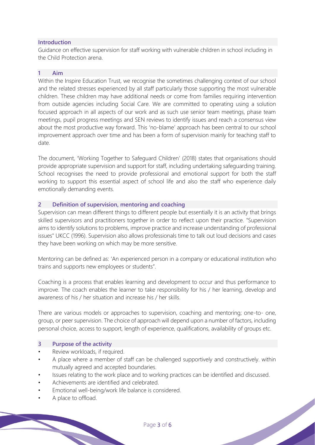### **Introduction**

Guidance on effective supervision for staff working with vulnerable children in school including in the Child Protection arena.

#### **1 Aim**

Within the Inspire Education Trust, we recognise the sometimes challenging context of our school and the related stresses experienced by all staff particularly those supporting the most vulnerable children. These children may have additional needs or come from families requiring intervention from outside agencies including Social Care. We are committed to operating using a solution focused approach in all aspects of our work and as such use senior team meetings, phase team meetings, pupil progress meetings and SEN reviews to identify issues and reach a consensus view about the most productive way forward. This 'no-blame' approach has been central to our school improvement approach over time and has been a form of supervision mainly for teaching staff to date.

The document, 'Working Together to Safeguard Children' (2018) states that organisations should provide appropriate supervision and support for staff, including undertaking safeguarding training. School recognises the need to provide professional and emotional support for both the staff working to support this essential aspect of school life and also the staff who experience daily emotionally demanding events.

#### **2 Definition of supervision, mentoring and coaching**

Supervision can mean different things to different people but essentially it is an activity that brings skilled supervisors and practitioners together in order to reflect upon their practice. "Supervision aims to identify solutions to problems, improve practice and increase understanding of professional issues" UKCC (1996). Supervision also allows professionals time to talk out loud decisions and cases they have been working on which may be more sensitive.

Mentoring can be defined as: 'An experienced person in a company or educational institution who trains and supports new employees or students".

Coaching is a process that enables learning and development to occur and thus performance to improve. The coach enables the learner to take responsibility for his / her learning, develop and awareness of his / her situation and increase his / her skills.

There are various models or approaches to supervision, coaching and mentoring; one-to- one, group, or peer supervision. The choice of approach will depend upon a number of factors, including personal choice, access to support, length of experience, qualifications, availability of groups etc.

#### **3 Purpose of the activity**

- Review workloads, if required.
- A place where a member of staff can be challenged supportively and constructively. within mutually agreed and accepted boundaries.
- Issues relating to the work place and to working practices can be identified and discussed.
- Achievements are identified and celebrated.
- Emotional well-being/work life balance is considered.
- A place to offload.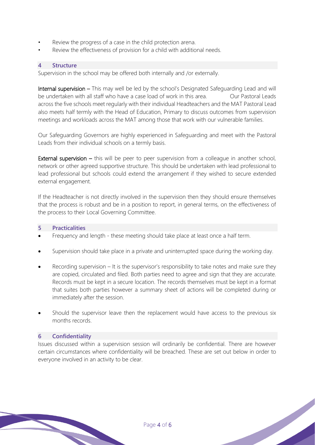- Review the progress of a case in the child protection arena.
- Review the effectiveness of provision for a child with additional needs.

#### **4 Structure**

Supervision in the school may be offered both internally and /or externally.

Internal supervision – This may well be led by the school's Designated Safeguarding Lead and will be undertaken with all staff who have a case load of work in this area. Our Pastoral Leads across the five schools meet regularly with their individual Headteachers and the MAT Pastoral Lead also meets half termly with the Head of Education, Primary to discuss outcomes from supervision meetings and workloads across the MAT among those that work with our vulnerable families.

Our Safeguarding Governors are highly experienced in Safeguarding and meet with the Pastoral Leads from their individual schools on a termly basis.

**External supervision –** this will be peer to peer supervision from a colleague in another school, network or other agreed supportive structure. This should be undertaken with lead professional to lead professional but schools could extend the arrangement if they wished to secure extended external engagement.

If the Headteacher is not directly involved in the supervision then they should ensure themselves that the process is robust and be in a position to report, in general terms, on the effectiveness of the process to their Local Governing Committee.

#### **5 Practicalities**

- Frequency and length these meeting should take place at least once a half term.
- Supervision should take place in a private and uninterrupted space during the working day.
- Recording supervision  $-$  It is the supervisor's responsibility to take notes and make sure they are copied, circulated and filed. Both parties need to agree and sign that they are accurate. Records must be kept in a secure location. The records themselves must be kept in a format that suites both parties however a summary sheet of actions will be completed during or immediately after the session.
- Should the supervisor leave then the replacement would have access to the previous six months records.

#### **6 Confidentiality**

Issues discussed within a supervision session will ordinarily be confidential. There are however certain circumstances where confidentiality will be breached. These are set out below in order to everyone involved in an activity to be clear.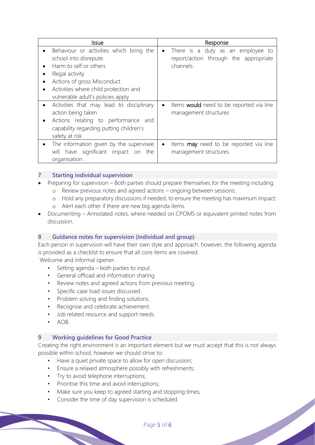| Issue                                                                                                                                                                                                                        | Response                                                                                             |
|------------------------------------------------------------------------------------------------------------------------------------------------------------------------------------------------------------------------------|------------------------------------------------------------------------------------------------------|
| Behaviour or activities which bring the<br>school into disrepute.<br>Harm to self or others<br>Illegal activity<br>Actions of gross Misconduct<br>Activities where child protection and<br>vulnerable adult's policies apply | There is a duty as an employee to<br>$\bullet$<br>report/action through the appropriate<br>channels. |
| Activities that may lead to disciplinary<br>action being taken<br>Actions relating to performance and<br>capability regarding putting children's<br>safety at risk                                                           | Items would need to be reported via line<br>٠<br>management structures                               |
| The information given by the supervisee<br>will have significant impact on the<br>organisation                                                                                                                               | Items <b>may</b> need to be reported via line<br>management structures                               |

### **7 Starting individual supervision**

- Preparing for supervision Both parties should prepare themselves for the meeting including:
	- o Review previous notes and agreed actions ongoing between sessions;
	- o Hold any preparatory discussions if needed, to ensure the meeting has maximum impact;
	- o Alert each other if there are new big agenda items.
- Documenting Annotated notes, where needed on CPOMS or equivalent printed notes from discussion.

#### **8 Guidance notes for supervision (individual and group)**

Each person in supervision will have their own style and approach: however, the following agenda is provided as a checklist to ensure that all core items are covered.

Welcome and informal opener.

- Setting agenda both parties to input.
- General offload and information sharing.
- Review notes and agreed actions from previous meeting.
- Specific case load issues discussed.
- Problem solving and finding solutions.
- Recognise and celebrate achievement.
- Job related resource and support needs.
- $\bullet$   $\land$   $\land$   $\land$

#### **9 Working guidelines for Good Practice**

Creating the right environment is an important element but we must accept that this is not always possible within school, however we should strive to:

- Have a quiet private space to allow for open discussion;
- Ensure a relaxed atmosphere possibly with refreshments;
- Try to avoid telephone interruptions;
- Prioritise this time and avoid interruptions;
- Make sure you keep to agreed starting and stopping times;
- Consider the time of day supervision is scheduled.